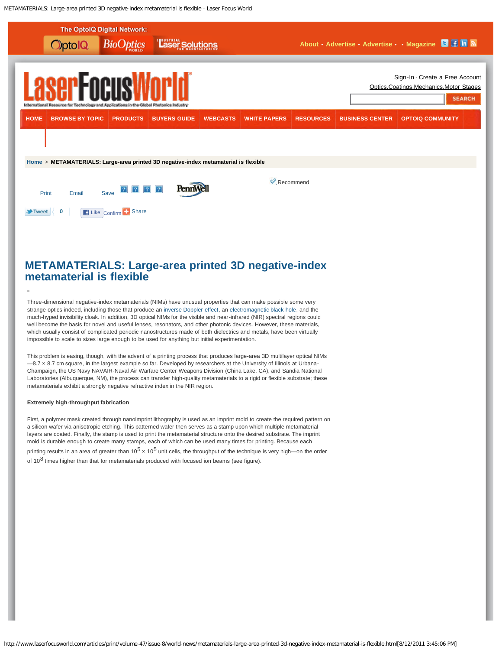<span id="page-0-0"></span>METAMATERIALS: Large-area printed 3D negative-index metamaterial is flexible - Laser Focus World



# **METAMATERIALS: Large-area printed 3D negative-index metamaterial is flexible**

Three-dimensional negative-index metamaterials (NIMs) have unusual properties that can make possible some very strange optics indeed, including those that produce an [inverse Doppler effect,](http://www.optoiq.com/index/photonics-technologies-applications/lfw-display/lfw-article-display/4267957216/articles/laser-focus-world/volume-47/issue-5/world-news/negative-index-materials-metamaterial-reveals-inverse-doppler-effect.html) an [electromagnetic black hole](http://www.optoiq.com/index/photonics-technologies-applications/lfw-display/lfw-article-display/9461679137/articles/laser-focus-world/volume-46/issue-7/world-news/metamaterials_-electromagnetic.html), and the much-hyped invisibility cloak. In addition, 3D optical NIMs for the visible and near-infrared (NIR) spectral regions could well become the basis for novel and useful lenses, resonators, and other photonic devices. However, these materials, which usually consist of complicated periodic nanostructures made of both dielectrics and metals, have been virtually impossible to scale to sizes large enough to be used for anything but initial experimentation.

This problem is easing, though, with the advent of a printing process that produces large-area 3D multilayer optical NIMs -8.7 x 8.7 cm square, in the largest example so far. Developed by researchers at the University of Illinois at Urbana-Champaign, the US Navy NAVAIR-Naval Air Warfare Center Weapons Division (China Lake, CA), and Sandia National Laboratories (Albuquerque, NM), the process can transfer high-quality metamaterials to a rigid or flexible substrate; these metamaterials exhibit a strongly negative refractive index in the NIR region.

### **Extremely high-throughput fabrication**

First, a polymer mask created through nanoimprint lithography is used as an imprint mold to create the required pattern on a silicon wafer via anisotropic etching. This patterned wafer then serves as a stamp upon which multiple metamaterial layers are coated. Finally, the stamp is used to print the metamaterial structure onto the desired substrate. The imprint mold is durable enough to create many stamps, each of which can be used many times for printing. Because each printing results in an area of greater than  $10^5 \times 10^5$  unit cells, the throughput of the technique is very high—on the order of  $10^8$  times higher than that for metamaterials produced with focused ion beams (see figure).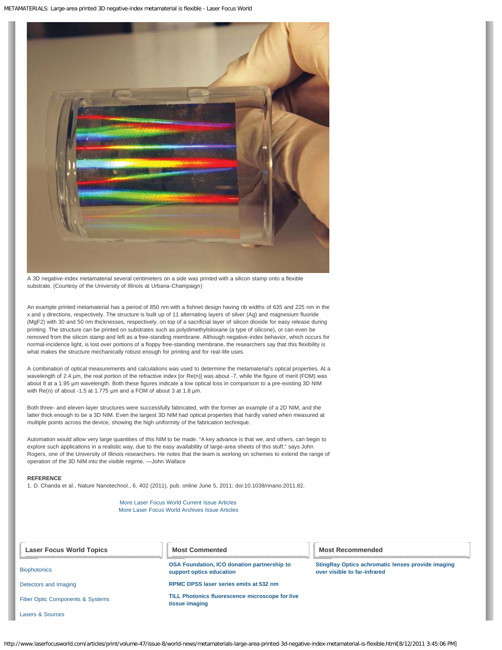METAMATERIALS: Large-area printed 3D negative-index metamaterial is flexible - Laser Focus World



A 3D negative-index metamaterial several centimeters on a side was printed with a silicon stamp onto a flexible substrate. (Courtesy of the University of Illinois at Urbana-Champaign)

An example printed metamaterial has a period of 850 nm with a fishnet design having rib widths of 635 and 225 nm in the x and y directions, respectively. The structure is built up of 11 alternating layers of silver (Ag) and magnesium fluoride (MgF2) with 30 and 50 nm thicknesses, respectively, on top of a sacrificial layer of silicon dioxide for easy release during printing. The structure can be printed on substrates such as polydimethylsiloxane (a type of silicone), or can even be removed from the silicon stamp and left as a free-standing membrane. Although negative-index behavior, which occurs for normal-incidence light, is lost over portions of a floppy free-standing membrane, the researchers say that this flexibility is what makes the structure mechanically robust enough for printing and for real-life uses.

A combination of optical measurements and calculations was used to determine the metamaterial's optical properties. At a wavelength of 2.4 µm, the real portion of the refractive index [or Re(n)] was about -7, while the figure of merit (FOM) was about 8 at a 1.95 µm wavelength. Both these figures indicate a low optical loss in comparison to a pre-existing 3D NIM with Re(n) of about -1.5 at 1.775 µm and a FOM of about 3 at 1.8 µm.

Both three- and eleven-layer structures were successfully fabricated, with the former an example of a 2D NIM, and the latter thick enough to be a 3D NIM. Even the largest 3D NIM had optical properties that hardly varied when measured at multiple points across the device, showing the high uniformity of the fabrication technique.

Automation would allow very large quantities of this NIM to be made. "A key advance is that we, and others, can begin to explore such applications in a realistic way, due to the easy availability of large-area sheets of this stuff," says John Rogers, one of the University of Illinois researchers. He notes that the team is working on schemes to extend the range of operation of the 3D NIM into the visible regime. —John Wallace

# **REFERENCE**

1. D. Chanda et al., Nature Nanotechnol., 6, 402 (2011), pub. online June 5, 2011; doi:10.1038/nnano.2011.82.

[More Laser Focus World Current Issue Articles](http://www.optoiq.com/index/photonics-technologies-applications/lfw-current-issue.html) [More Laser Focus World Archives Issue Articles](http://www.optoiq.com/index/photonics-technologies-applications/lfw-past-issue.html)

| <b>Laser Focus World Topics</b>             | <b>Most Commented</b>                                                          | <b>Most Recommended</b>                                                           |
|---------------------------------------------|--------------------------------------------------------------------------------|-----------------------------------------------------------------------------------|
| <b>Biophotonics</b>                         | <b>OSA Foundation, ICO donation partnership to</b><br>support optics education | StingRay Optics achromatic lenses provide imaging<br>over visible to far-infrared |
| Detectors and Imaging                       | RPMC DPSS laser series emits at 532 nm                                         |                                                                                   |
| <b>Fiber Optic Components &amp; Systems</b> | <b>TILL Photonics fluorescence microscope for live</b><br>tissue imaging       |                                                                                   |
| Lasers & Sources                            |                                                                                |                                                                                   |

http://www.laserfocusworld.com/articles/print/volume-47/issue-8/world-news/metamaterials-large-area-printed-3d-negative-index-metamaterial-is-flexible.html[8/12/2011 3:45:06 PM]